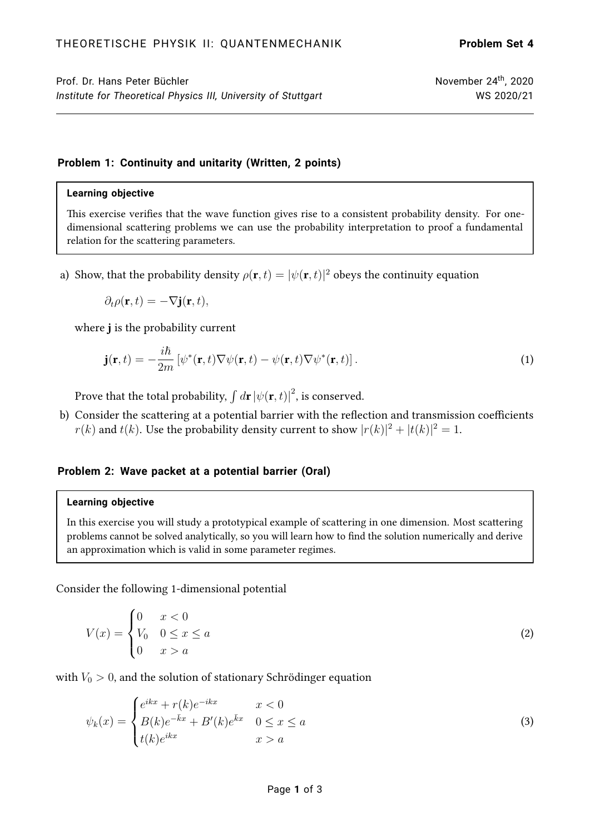Prof. Dr. Hans Peter Büchler November 24<sup>th</sup>, 2020 *Institute for Theoretical Physics III, University of Stuttgart* WS 2020/21

# **Problem 1: Continuity and unitarity (Written, 2 points)**

#### **Learning objective**

This exercise verifies that the wave function gives rise to a consistent probability density. For onedimensional scattering problems we can use the probability interpretation to proof a fundamental relation for the scattering parameters.

a) Show, that the probability density  $\rho({\bf r},t)=|\psi({\bf r},t)|^2$  obeys the continuity equation

$$
\partial_t \rho(\mathbf{r},t) = -\nabla \mathbf{j}(\mathbf{r},t),
$$

where *j* is the probability current

$$
\mathbf{j}(\mathbf{r},t) = -\frac{i\hbar}{2m} \left[ \psi^*(\mathbf{r},t) \nabla \psi(\mathbf{r},t) - \psi(\mathbf{r},t) \nabla \psi^*(\mathbf{r},t) \right]. \tag{1}
$$

Prove that the total probability,  $\int d{\bf r} \, |\psi({\bf r},t)|^2$ , is conserved.

b) Consider the scattering at a potential barrier with the reflection and transmission coefficients  $r(k)$  and  $t(k)$ . Use the probability density current to show  $|r(k)|^2 + |t(k)|^2 = 1$ .

# **Problem 2: Wave packet at a potential barrier (Oral)**

# **Learning objective**

In this exercise you will study a prototypical example of scattering in one dimension. Most scattering problems cannot be solved analytically, so you will learn how to find the solution numerically and derive an approximation which is valid in some parameter regimes.

Consider the following 1-dimensional potential

$$
V(x) = \begin{cases} 0 & x < 0 \\ V_0 & 0 \le x \le a \\ 0 & x > a \end{cases}
$$
 (2)

with  $V_0 > 0$ , and the solution of stationary Schrödinger equation

$$
\psi_k(x) = \begin{cases} e^{ikx} + r(k)e^{-ikx} & x < 0\\ B(k)e^{-\bar{k}x} + B'(k)e^{\bar{k}x} & 0 \le x \le a\\ t(k)e^{ikx} & x > a \end{cases} \tag{3}
$$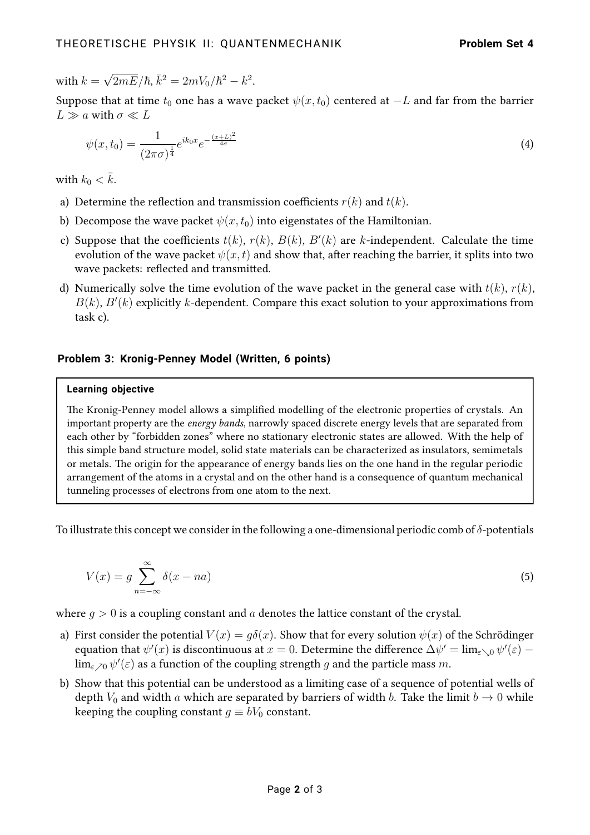with  $k =$  $\sqrt{2mE}/\hbar, \bar{k}^2 = 2mV_0/\hbar^2 - k^2.$ 

Suppose that at time  $t_0$  one has a wave packet  $\psi(x, t_0)$  centered at  $-L$  and far from the barrier  $L \gg a$  with  $\sigma \ll L$ 

$$
\psi(x,t_0) = \frac{1}{(2\pi\sigma)^{\frac{1}{4}}} e^{ik_0 x} e^{-\frac{(x+L)^2}{4\sigma}} \tag{4}
$$

with  $k_0 < \bar{k}$ .

- a) Determine the reflection and transmission coefficients  $r(k)$  and  $t(k)$ .
- b) Decompose the wave packet  $\psi(x, t_0)$  into eigenstates of the Hamiltonian.
- c) Suppose that the coefficients  $t(k)$ ,  $r(k)$ ,  $B(k)$ ,  $B'(k)$  are k-independent. Calculate the time evolution of the wave packet  $\psi(x, t)$  and show that, after reaching the barrier, it splits into two wave packets: reflected and transmitted.
- d) Numerically solve the time evolution of the wave packet in the general case with  $t(k)$ ,  $r(k)$ ,  $B(k)$ ,  $B'(k)$  explicitly k-dependent. Compare this exact solution to your approximations from task c).

### **Problem 3: Kronig-Penney Model (Written, 6 points)**

#### **Learning objective**

The Kronig-Penney model allows a simplified modelling of the electronic properties of crystals. An important property are the energy bands, narrowly spaced discrete energy levels that are separated from each other by "forbidden zones" where no stationary electronic states are allowed. With the help of this simple band structure model, solid state materials can be characterized as insulators, semimetals or metals. The origin for the appearance of energy bands lies on the one hand in the regular periodic arrangement of the atoms in a crystal and on the other hand is a consequence of quantum mechanical tunneling processes of electrons from one atom to the next.

To illustrate this concept we consider in the following a one-dimensional periodic comb of  $\delta$ -potentials

$$
V(x) = g \sum_{n = -\infty}^{\infty} \delta(x - na)
$$
 (5)

where  $g > 0$  is a coupling constant and a denotes the lattice constant of the crystal.

- a) First consider the potential  $V(x) = q\delta(x)$ . Show that for every solution  $\psi(x)$  of the Schrödinger equation that  $\psi'(x)$  is discontinuous at  $x=0.$  Determine the difference  $\Delta\psi'=\lim_{\varepsilon\searrow 0}\psi'(\varepsilon)-1$  $\lim_{\varepsilon\nearrow 0}\psi'(\varepsilon)$  as a function of the coupling strength  $g$  and the particle mass  $m.$
- b) Show that this potential can be understood as a limiting case of a sequence of potential wells of depth  $V_0$  and width a which are separated by barriers of width b. Take the limit  $b \to 0$  while keeping the coupling constant  $g \equiv bV_0$  constant.